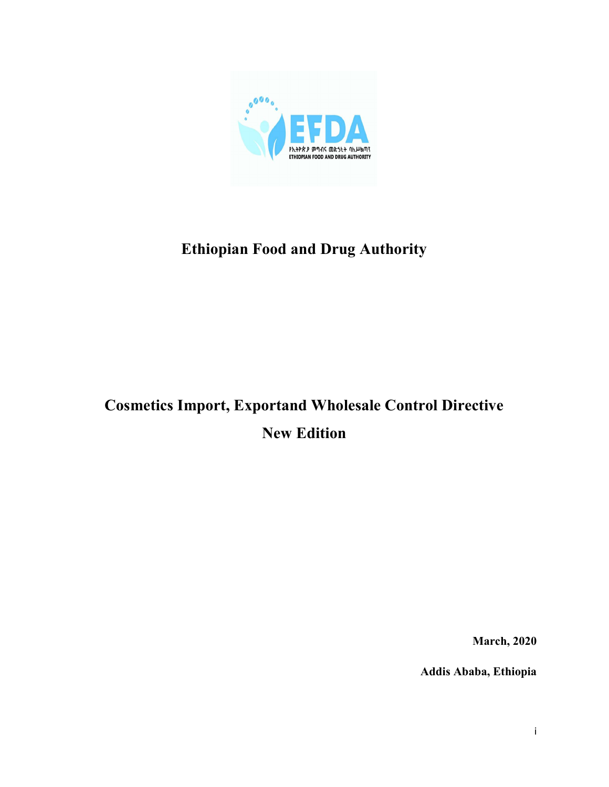

# Ethiopian Food and Drug Authority

# Cosmetics Import, Exportand Wholesale Control Directive New Edition

March, 2020

Addis Ababa, Ethiopia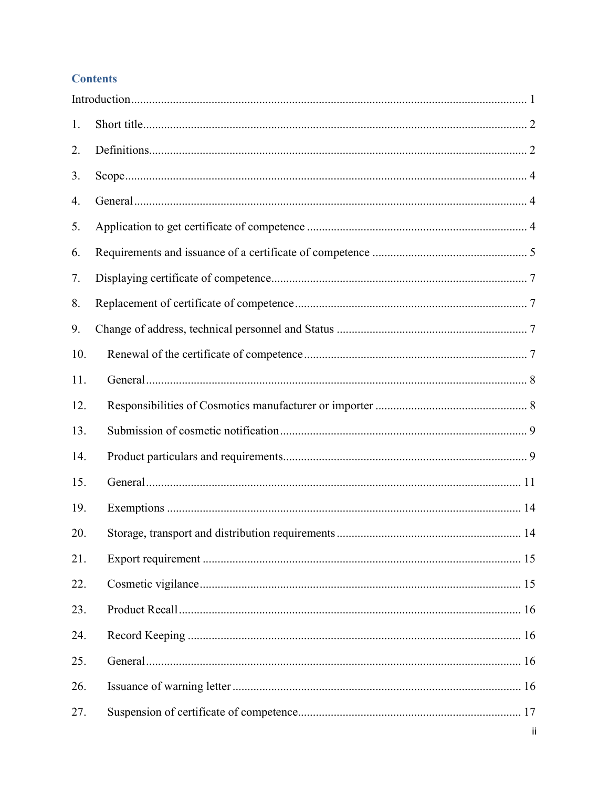# **Contents**

| 1.  |  |
|-----|--|
| 2.  |  |
| 3.  |  |
| 4.  |  |
| 5.  |  |
| 6.  |  |
| 7.  |  |
| 8.  |  |
| 9.  |  |
| 10. |  |
| 11. |  |
| 12. |  |
| 13. |  |
| 14. |  |
| 15. |  |
| 19. |  |
| 20. |  |
| 21. |  |
| 22. |  |
| 23. |  |
| 24. |  |
| 25. |  |
| 26. |  |
| 27. |  |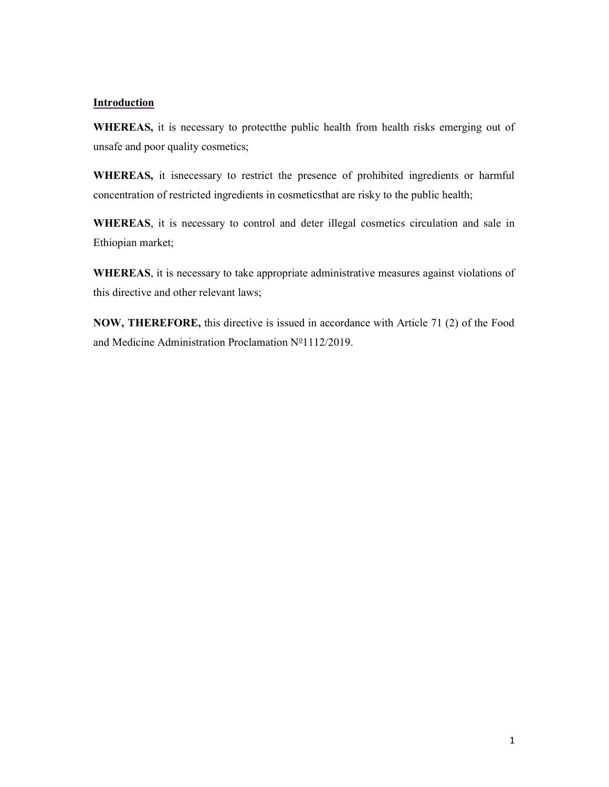### **Introduction**

WHEREAS, it is necessary to protect the public health from health risks emerging out of unsafe and poor quality cosmetics;

WHEREAS, it isnecessary to restrict the presence of prohibited ingredients or harmful concentration of restricted ingredients in cosmeticsthat are risky to the public health;

WHEREAS, it is necessary to control and deter illegal cosmetics circulation and sale in Ethiopian market;

WHEREAS, it is necessary to take appropriate administrative measures against violations of this directive and other relevant laws;

NOW, THEREFORE, this directive is issued in accordance with Article 71 (2) of the Food and Medicine Administration Proclamation  $N^{\circ}1112/2019$ .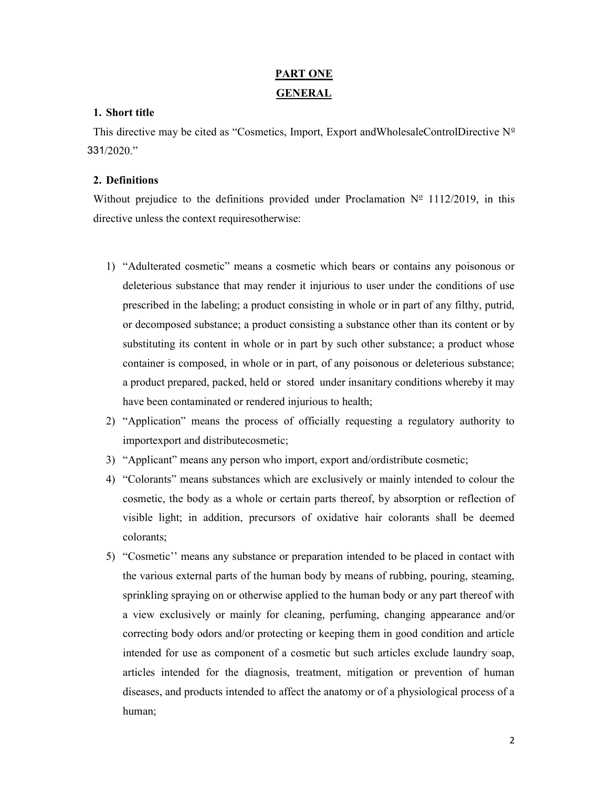# PART ONE GENERAL

# 1. Short title

This directive may be cited as "Cosmetics, Import, Export andWholesaleControlDirective  $N^{\circ}$ 331/2020."

# 2. Definitions

Without prejudice to the definitions provided under Proclamation  $N^{\circ}$  1112/2019, in this directive unless the context requiresotherwise:

- 1) "Adulterated cosmetic" means a cosmetic which bears or contains any poisonous or deleterious substance that may render it injurious to user under the conditions of use prescribed in the labeling; a product consisting in whole or in part of any filthy, putrid, or decomposed substance; a product consisting a substance other than its content or by substituting its content in whole or in part by such other substance; a product whose container is composed, in whole or in part, of any poisonous or deleterious substance; a product prepared, packed, held or stored under insanitary conditions whereby it may have been contaminated or rendered injurious to health;
- 2) "Application" means the process of officially requesting a regulatory authority to importexport and distributecosmetic;
- 3) "Applicant" means any person who import, export and/ordistribute cosmetic;
- 4) "Colorants" means substances which are exclusively or mainly intended to colour the cosmetic, the body as a whole or certain parts thereof, by absorption or reflection of visible light; in addition, precursors of oxidative hair colorants shall be deemed colorants;
- 5) "Cosmetic'' means any substance or preparation intended to be placed in contact with the various external parts of the human body by means of rubbing, pouring, steaming, sprinkling spraying on or otherwise applied to the human body or any part thereof with a view exclusively or mainly for cleaning, perfuming, changing appearance and/or correcting body odors and/or protecting or keeping them in good condition and article intended for use as component of a cosmetic but such articles exclude laundry soap, articles intended for the diagnosis, treatment, mitigation or prevention of human diseases, and products intended to affect the anatomy or of a physiological process of a human;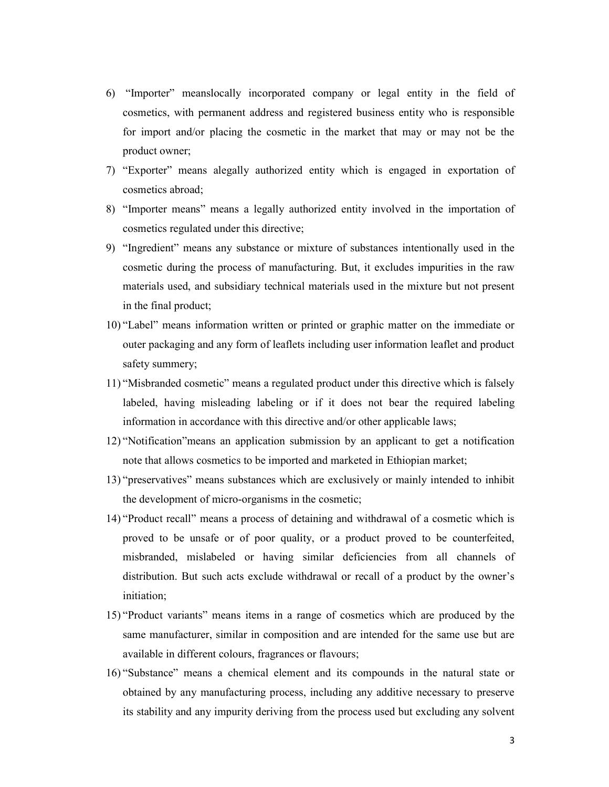- 6) "Importer" meanslocally incorporated company or legal entity in the field of cosmetics, with permanent address and registered business entity who is responsible for import and/or placing the cosmetic in the market that may or may not be the product owner;
- 7) "Exporter" means alegally authorized entity which is engaged in exportation of cosmetics abroad;
- 8) "Importer means" means a legally authorized entity involved in the importation of cosmetics regulated under this directive;
- 9) "Ingredient" means any substance or mixture of substances intentionally used in the cosmetic during the process of manufacturing. But, it excludes impurities in the raw materials used, and subsidiary technical materials used in the mixture but not present in the final product;
- 10) "Label" means information written or printed or graphic matter on the immediate or outer packaging and any form of leaflets including user information leaflet and product safety summery;
- 11) "Misbranded cosmetic" means a regulated product under this directive which is falsely labeled, having misleading labeling or if it does not bear the required labeling information in accordance with this directive and/or other applicable laws;
- 12) "Notification"means an application submission by an applicant to get a notification note that allows cosmetics to be imported and marketed in Ethiopian market;
- 13) "preservatives" means substances which are exclusively or mainly intended to inhibit the development of micro-organisms in the cosmetic;
- 14) "Product recall" means a process of detaining and withdrawal of a cosmetic which is proved to be unsafe or of poor quality, or a product proved to be counterfeited, misbranded, mislabeled or having similar deficiencies from all channels of distribution. But such acts exclude withdrawal or recall of a product by the owner's initiation;
- 15) "Product variants" means items in a range of cosmetics which are produced by the same manufacturer, similar in composition and are intended for the same use but are available in different colours, fragrances or flavours;
- 16) "Substance" means a chemical element and its compounds in the natural state or obtained by any manufacturing process, including any additive necessary to preserve its stability and any impurity deriving from the process used but excluding any solvent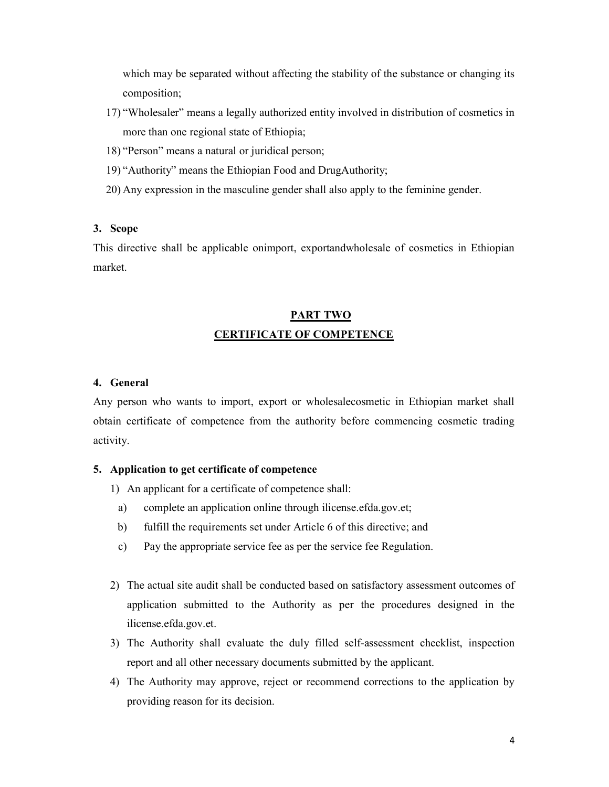which may be separated without affecting the stability of the substance or changing its composition;

- 17) "Wholesaler" means a legally authorized entity involved in distribution of cosmetics in more than one regional state of Ethiopia;
- 18) "Person" means a natural or juridical person;
- 19) "Authority" means the Ethiopian Food and DrugAuthority;
- 20) Any expression in the masculine gender shall also apply to the feminine gender.

# 3. Scope

This directive shall be applicable onimport, exportandwholesale of cosmetics in Ethiopian market.

# PART TWO CERTIFICATE OF COMPETENCE

# 4. General

Any person who wants to import, export or wholesalecosmetic in Ethiopian market shall obtain certificate of competence from the authority before commencing cosmetic trading activity.

# 5. Application to get certificate of competence

1) An applicant for a certificate of competence shall:

- a) complete an application online through ilicense.efda.gov.et;
- b) fulfill the requirements set under Article 6 of this directive; and
- c) Pay the appropriate service fee as per the service fee Regulation.
- 2) The actual site audit shall be conducted based on satisfactory assessment outcomes of application submitted to the Authority as per the procedures designed in the ilicense.efda.gov.et.
- 3) The Authority shall evaluate the duly filled self-assessment checklist, inspection report and all other necessary documents submitted by the applicant.
- 4) The Authority may approve, reject or recommend corrections to the application by providing reason for its decision.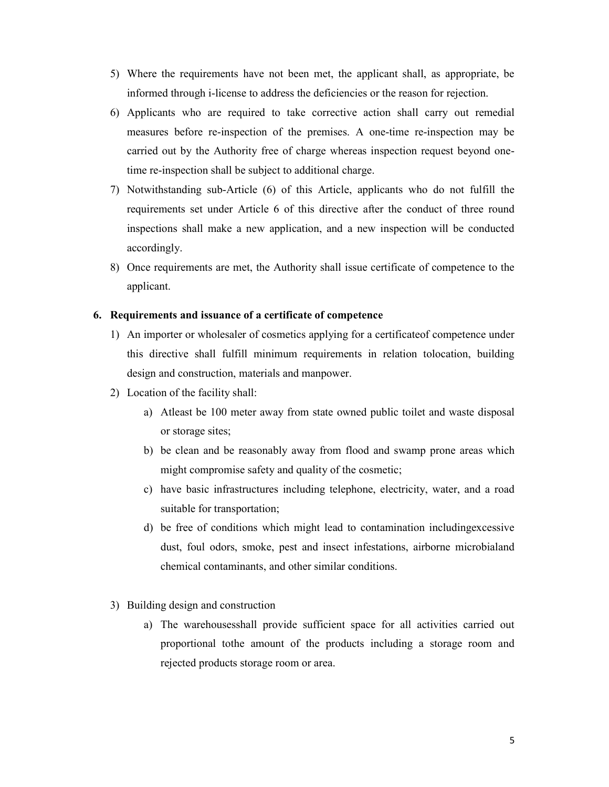- 5) Where the requirements have not been met, the applicant shall, as appropriate, be informed through i-license to address the deficiencies or the reason for rejection.
- 6) Applicants who are required to take corrective action shall carry out remedial measures before re-inspection of the premises. A one-time re-inspection may be carried out by the Authority free of charge whereas inspection request beyond onetime re-inspection shall be subject to additional charge.
- 7) Notwithstanding sub-Article (6) of this Article, applicants who do not fulfill the requirements set under Article 6 of this directive after the conduct of three round inspections shall make a new application, and a new inspection will be conducted accordingly.
- 8) Once requirements are met, the Authority shall issue certificate of competence to the applicant.

#### 6. Requirements and issuance of a certificate of competence

- 1) An importer or wholesaler of cosmetics applying for a certificateof competence under this directive shall fulfill minimum requirements in relation tolocation, building design and construction, materials and manpower.
- 2) Location of the facility shall:
	- a) Atleast be 100 meter away from state owned public toilet and waste disposal or storage sites;
	- b) be clean and be reasonably away from flood and swamp prone areas which might compromise safety and quality of the cosmetic;
	- c) have basic infrastructures including telephone, electricity, water, and a road suitable for transportation;
	- d) be free of conditions which might lead to contamination includingexcessive dust, foul odors, smoke, pest and insect infestations, airborne microbialand chemical contaminants, and other similar conditions.
- 3) Building design and construction
	- a) The warehousesshall provide sufficient space for all activities carried out proportional tothe amount of the products including a storage room and rejected products storage room or area.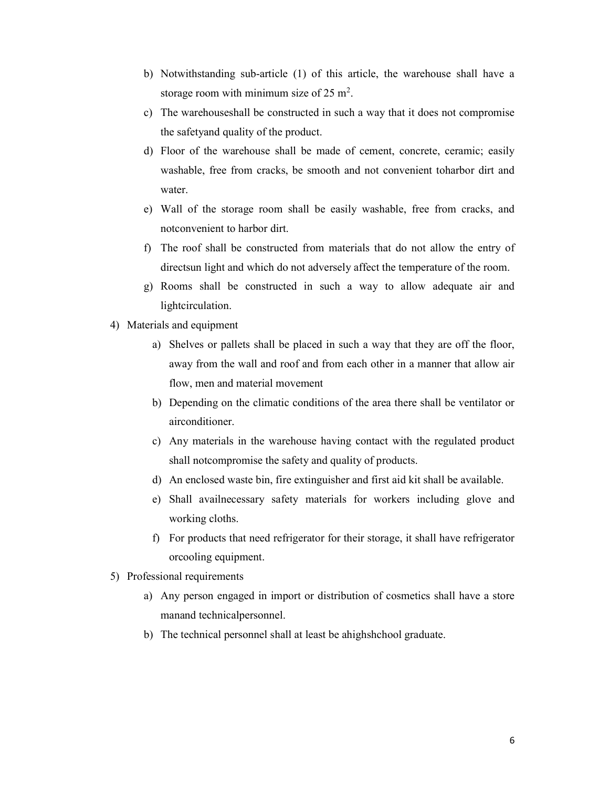- b) Notwithstanding sub-article (1) of this article, the warehouse shall have a storage room with minimum size of  $25 \text{ m}^2$ .
- c) The warehouseshall be constructed in such a way that it does not compromise the safetyand quality of the product.
- d) Floor of the warehouse shall be made of cement, concrete, ceramic; easily washable, free from cracks, be smooth and not convenient toharbor dirt and water.
- e) Wall of the storage room shall be easily washable, free from cracks, and notconvenient to harbor dirt.
- f) The roof shall be constructed from materials that do not allow the entry of directsun light and which do not adversely affect the temperature of the room.
- g) Rooms shall be constructed in such a way to allow adequate air and lightcirculation.
- 4) Materials and equipment
	- a) Shelves or pallets shall be placed in such a way that they are off the floor, away from the wall and roof and from each other in a manner that allow air flow, men and material movement
	- b) Depending on the climatic conditions of the area there shall be ventilator or airconditioner.
	- c) Any materials in the warehouse having contact with the regulated product shall notcompromise the safety and quality of products.
	- d) An enclosed waste bin, fire extinguisher and first aid kit shall be available.
	- e) Shall availnecessary safety materials for workers including glove and working cloths.
	- f) For products that need refrigerator for their storage, it shall have refrigerator orcooling equipment.
- 5) Professional requirements
	- a) Any person engaged in import or distribution of cosmetics shall have a store manand technicalpersonnel.
	- b) The technical personnel shall at least be ahighshchool graduate.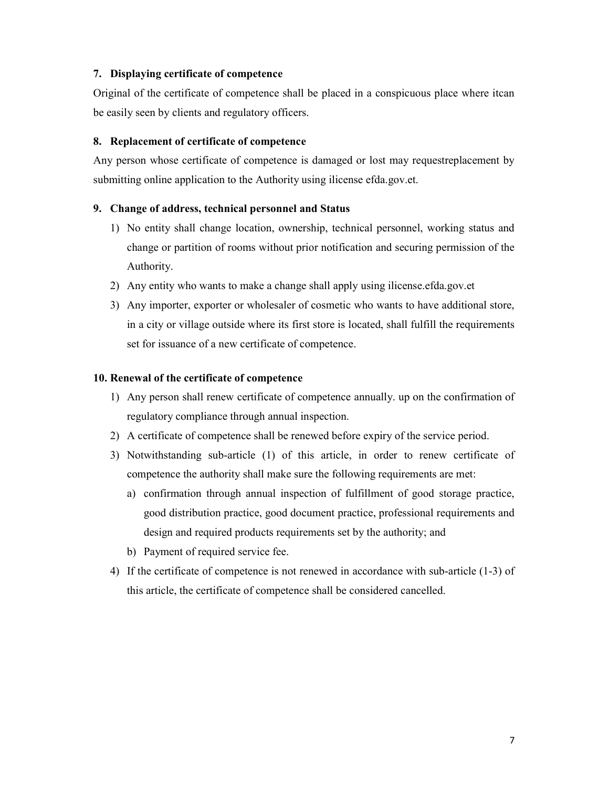# 7. Displaying certificate of competence

Original of the certificate of competence shall be placed in a conspicuous place where itcan be easily seen by clients and regulatory officers.

# 8. Replacement of certificate of competence

Any person whose certificate of competence is damaged or lost may requestreplacement by submitting online application to the Authority using ilicense efda.gov.et.

# 9. Change of address, technical personnel and Status

- 1) No entity shall change location, ownership, technical personnel, working status and change or partition of rooms without prior notification and securing permission of the Authority.
- 2) Any entity who wants to make a change shall apply using ilicense.efda.gov.et
- 3) Any importer, exporter or wholesaler of cosmetic who wants to have additional store, in a city or village outside where its first store is located, shall fulfill the requirements set for issuance of a new certificate of competence.

# 10. Renewal of the certificate of competence

- 1) Any person shall renew certificate of competence annually. up on the confirmation of regulatory compliance through annual inspection.
- 2) A certificate of competence shall be renewed before expiry of the service period.
- 3) Notwithstanding sub-article (1) of this article, in order to renew certificate of competence the authority shall make sure the following requirements are met:
	- a) confirmation through annual inspection of fulfillment of good storage practice, good distribution practice, good document practice, professional requirements and design and required products requirements set by the authority; and
	- b) Payment of required service fee.
- 4) If the certificate of competence is not renewed in accordance with sub-article (1-3) of this article, the certificate of competence shall be considered cancelled.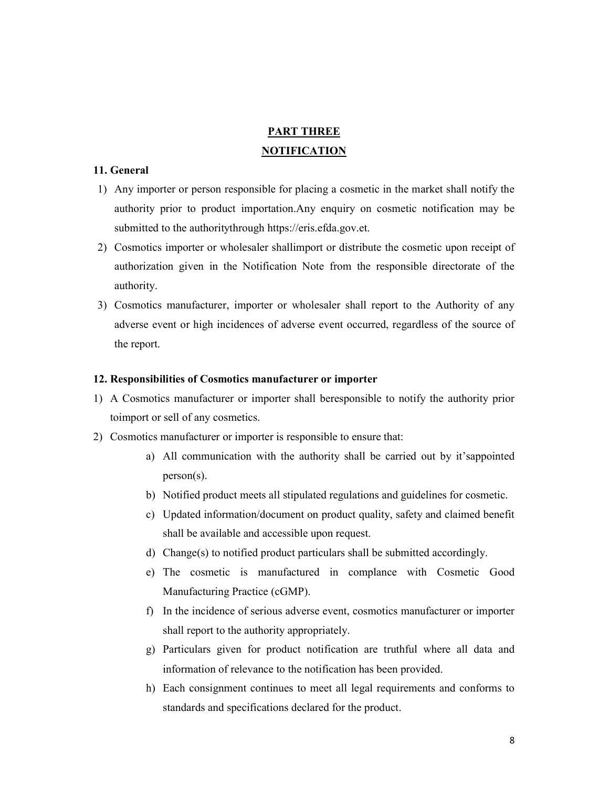# PART THREE NOTIFICATION

### 11. General

- 1) Any importer or person responsible for placing a cosmetic in the market shall notify the authority prior to product importation.Any enquiry on cosmetic notification may be submitted to the authoritythrough https://eris.efda.gov.et.
- 2) Cosmotics importer or wholesaler shallimport or distribute the cosmetic upon receipt of authorization given in the Notification Note from the responsible directorate of the authority.
- 3) Cosmotics manufacturer, importer or wholesaler shall report to the Authority of any adverse event or high incidences of adverse event occurred, regardless of the source of the report.

# 12. Responsibilities of Cosmotics manufacturer or importer

- 1) A Cosmotics manufacturer or importer shall beresponsible to notify the authority prior toimport or sell of any cosmetics.
- 2) Cosmotics manufacturer or importer is responsible to ensure that:
	- a) All communication with the authority shall be carried out by it'sappointed person(s).
	- b) Notified product meets all stipulated regulations and guidelines for cosmetic.
	- c) Updated information/document on product quality, safety and claimed benefit shall be available and accessible upon request.
	- d) Change(s) to notified product particulars shall be submitted accordingly.
	- e) The cosmetic is manufactured in complance with Cosmetic Good Manufacturing Practice (cGMP).
	- f) In the incidence of serious adverse event, cosmotics manufacturer or importer shall report to the authority appropriately.
	- g) Particulars given for product notification are truthful where all data and information of relevance to the notification has been provided.
	- h) Each consignment continues to meet all legal requirements and conforms to standards and specifications declared for the product.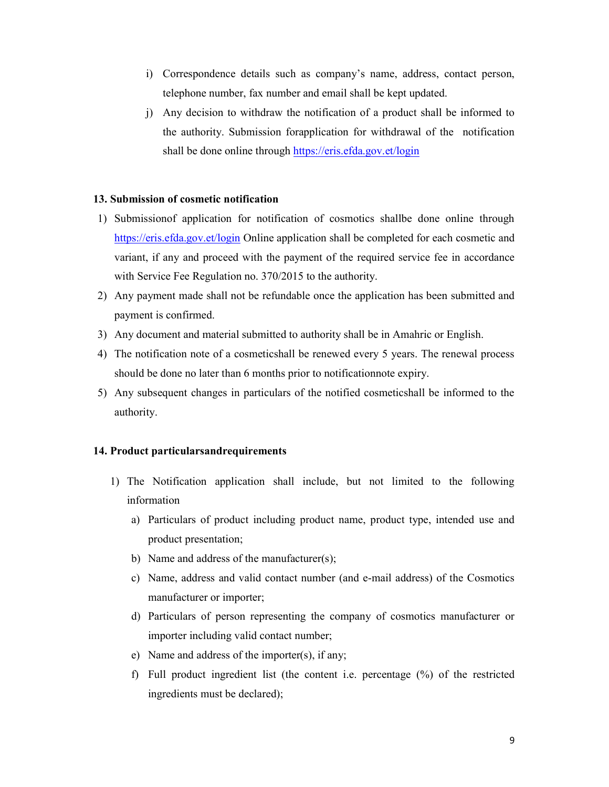- i) Correspondence details such as company's name, address, contact person, telephone number, fax number and email shall be kept updated.
- j) Any decision to withdraw the notification of a product shall be informed to the authority. Submission forapplication for withdrawal of the notification shall be done online through https://eris.efda.gov.et/login

# 13. Submission of cosmetic notification

- 1) Submissionof application for notification of cosmotics shallbe done online through https://eris.efda.gov.et/login Online application shall be completed for each cosmetic and variant, if any and proceed with the payment of the required service fee in accordance with Service Fee Regulation no. 370/2015 to the authority.
- 2) Any payment made shall not be refundable once the application has been submitted and payment is confirmed.
- 3) Any document and material submitted to authority shall be in Amahric or English.
- 4) The notification note of a cosmeticshall be renewed every 5 years. The renewal process should be done no later than 6 months prior to notificationnote expiry.
- 5) Any subsequent changes in particulars of the notified cosmeticshall be informed to the authority.

#### 14. Product particularsandrequirements

- 1) The Notification application shall include, but not limited to the following information
	- a) Particulars of product including product name, product type, intended use and product presentation;
	- b) Name and address of the manufacturer(s);
	- c) Name, address and valid contact number (and e-mail address) of the Cosmotics manufacturer or importer;
	- d) Particulars of person representing the company of cosmotics manufacturer or importer including valid contact number;
	- e) Name and address of the importer(s), if any;
	- f) Full product ingredient list (the content i.e. percentage (%) of the restricted ingredients must be declared);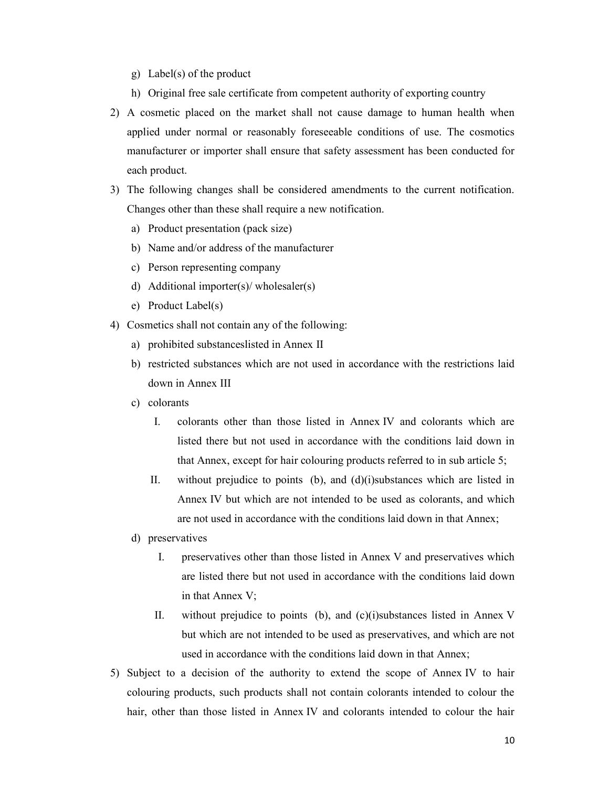- g) Label(s) of the product
- h) Original free sale certificate from competent authority of exporting country
- 2) A cosmetic placed on the market shall not cause damage to human health when applied under normal or reasonably foreseeable conditions of use. The cosmotics manufacturer or importer shall ensure that safety assessment has been conducted for each product.
- 3) The following changes shall be considered amendments to the current notification. Changes other than these shall require a new notification.
	- a) Product presentation (pack size)
	- b) Name and/or address of the manufacturer
	- c) Person representing company
	- d) Additional importer(s)/ wholesaler(s)
	- e) Product Label(s)
- 4) Cosmetics shall not contain any of the following:
	- a) prohibited substanceslisted in Annex II
	- b) restricted substances which are not used in accordance with the restrictions laid down in Annex III
	- c) colorants
		- I. colorants other than those listed in Annex IV and colorants which are listed there but not used in accordance with the conditions laid down in that Annex, except for hair colouring products referred to in sub article 5;
		- II. without prejudice to points (b), and (d)(i)substances which are listed in Annex IV but which are not intended to be used as colorants, and which are not used in accordance with the conditions laid down in that Annex;
	- d) preservatives
		- I. preservatives other than those listed in Annex V and preservatives which are listed there but not used in accordance with the conditions laid down in that Annex V;
		- II. without prejudice to points (b), and (c)(i)substances listed in Annex V but which are not intended to be used as preservatives, and which are not used in accordance with the conditions laid down in that Annex;
- 5) Subject to a decision of the authority to extend the scope of Annex IV to hair colouring products, such products shall not contain colorants intended to colour the hair, other than those listed in Annex IV and colorants intended to colour the hair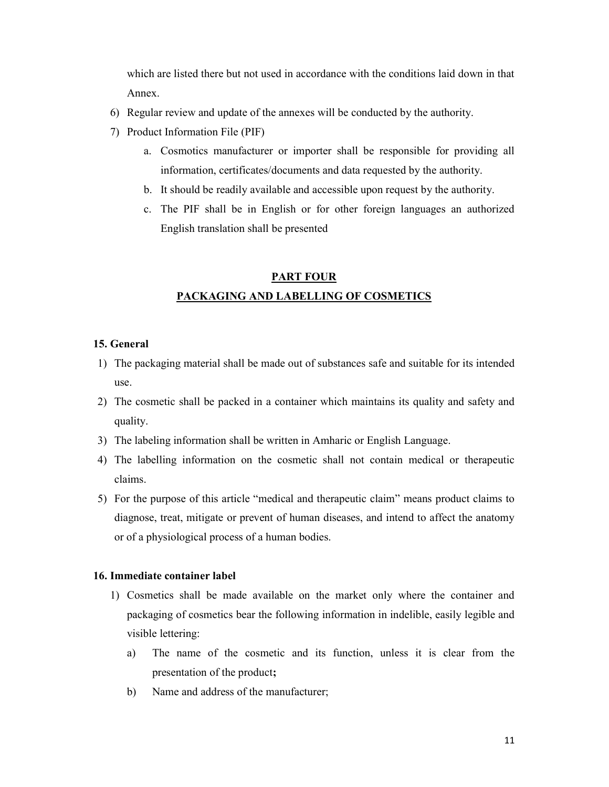which are listed there but not used in accordance with the conditions laid down in that Annex.

- 6) Regular review and update of the annexes will be conducted by the authority.
- 7) Product Information File (PIF)
	- a. Cosmotics manufacturer or importer shall be responsible for providing all information, certificates/documents and data requested by the authority.
	- b. It should be readily available and accessible upon request by the authority.
	- c. The PIF shall be in English or for other foreign languages an authorized English translation shall be presented

# PART FOUR PACKAGING AND LABELLING OF COSMETICS

# 15. General

- 1) The packaging material shall be made out of substances safe and suitable for its intended use.
- 2) The cosmetic shall be packed in a container which maintains its quality and safety and quality.
- 3) The labeling information shall be written in Amharic or English Language.
- 4) The labelling information on the cosmetic shall not contain medical or therapeutic claims.
- 5) For the purpose of this article "medical and therapeutic claim" means product claims to diagnose, treat, mitigate or prevent of human diseases, and intend to affect the anatomy or of a physiological process of a human bodies.

# 16. Immediate container label

- 1) Cosmetics shall be made available on the market only where the container and packaging of cosmetics bear the following information in indelible, easily legible and visible lettering:
	- a) The name of the cosmetic and its function, unless it is clear from the presentation of the product;
	- b) Name and address of the manufacturer;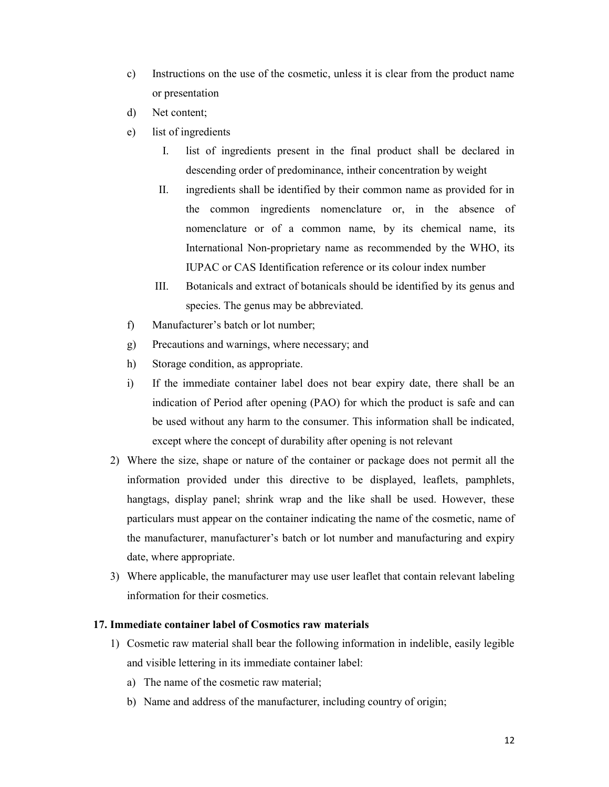- c) Instructions on the use of the cosmetic, unless it is clear from the product name or presentation
- d) Net content;
- e) list of ingredients
	- I. list of ingredients present in the final product shall be declared in descending order of predominance, intheir concentration by weight
	- II. ingredients shall be identified by their common name as provided for in the common ingredients nomenclature or, in the absence of nomenclature or of a common name, by its chemical name, its International Non-proprietary name as recommended by the WHO, its IUPAC or CAS Identification reference or its colour index number
	- III. Botanicals and extract of botanicals should be identified by its genus and species. The genus may be abbreviated.
- f) Manufacturer's batch or lot number;
- g) Precautions and warnings, where necessary; and
- h) Storage condition, as appropriate.
- i) If the immediate container label does not bear expiry date, there shall be an indication of Period after opening (PAO) for which the product is safe and can be used without any harm to the consumer. This information shall be indicated, except where the concept of durability after opening is not relevant
- 2) Where the size, shape or nature of the container or package does not permit all the information provided under this directive to be displayed, leaflets, pamphlets, hangtags, display panel; shrink wrap and the like shall be used. However, these particulars must appear on the container indicating the name of the cosmetic, name of the manufacturer, manufacturer's batch or lot number and manufacturing and expiry date, where appropriate.
- 3) Where applicable, the manufacturer may use user leaflet that contain relevant labeling information for their cosmetics.

#### 17. Immediate container label of Cosmotics raw materials

- 1) Cosmetic raw material shall bear the following information in indelible, easily legible and visible lettering in its immediate container label:
	- a) The name of the cosmetic raw material;
	- b) Name and address of the manufacturer, including country of origin;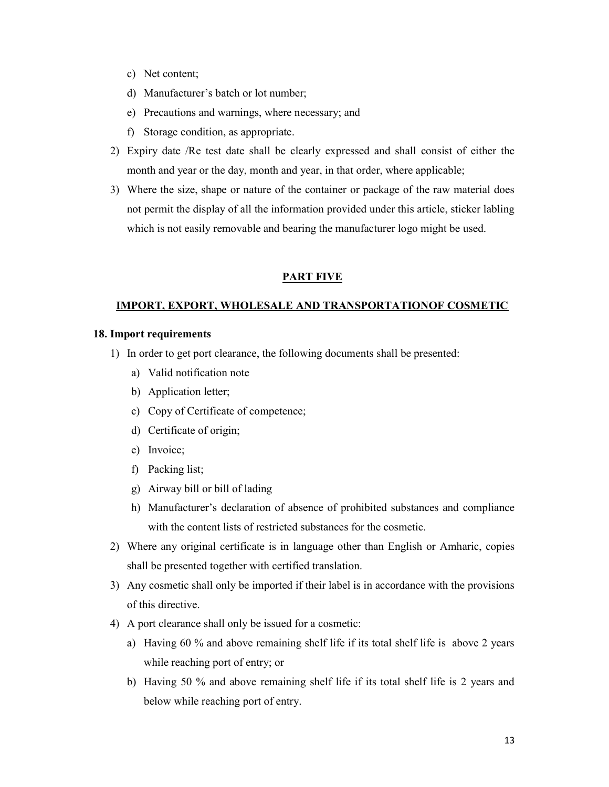- c) Net content;
- d) Manufacturer's batch or lot number;
- e) Precautions and warnings, where necessary; and
- f) Storage condition, as appropriate.
- 2) Expiry date /Re test date shall be clearly expressed and shall consist of either the month and year or the day, month and year, in that order, where applicable;
- 3) Where the size, shape or nature of the container or package of the raw material does not permit the display of all the information provided under this article, sticker labling which is not easily removable and bearing the manufacturer logo might be used.

### PART FIVE

# IMPORT, EXPORT, WHOLESALE AND TRANSPORTATIONOF COSMETIC

### 18. Import requirements

- 1) In order to get port clearance, the following documents shall be presented:
	- a) Valid notification note
	- b) Application letter;
	- c) Copy of Certificate of competence;
	- d) Certificate of origin;
	- e) Invoice;
	- f) Packing list;
	- g) Airway bill or bill of lading
	- h) Manufacturer's declaration of absence of prohibited substances and compliance with the content lists of restricted substances for the cosmetic.
- 2) Where any original certificate is in language other than English or Amharic, copies shall be presented together with certified translation.
- 3) Any cosmetic shall only be imported if their label is in accordance with the provisions of this directive.
- 4) A port clearance shall only be issued for a cosmetic:
	- a) Having 60 % and above remaining shelf life if its total shelf life is above 2 years while reaching port of entry; or
	- b) Having 50 % and above remaining shelf life if its total shelf life is 2 years and below while reaching port of entry.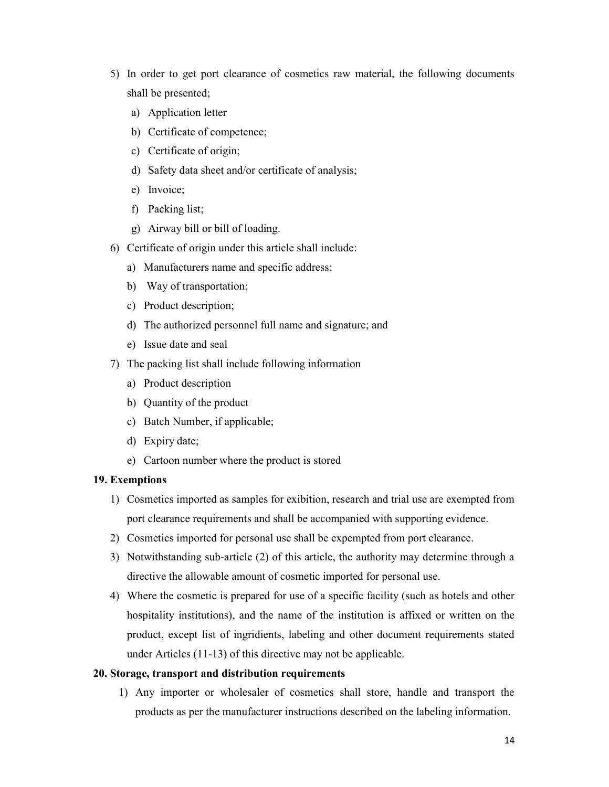- 5) In order to get port clearance of cosmetics raw material, the following documents shall be presented;
	- a) Application letter
	- b) Certificate of competence;
	- c) Certificate of origin;
	- d) Safety data sheet and/or certificate of analysis;
	- e) Invoice;
	- f) Packing list;
	- g) Airway bill or bill of loading.
- 6) Certificate of origin under this article shall include:
	- a) Manufacturers name and specific address;
	- b) Way of transportation;
	- c) Product description;
	- d) The authorized personnel full name and signature; and
	- e) Issue date and seal
- 7) The packing list shall include following information
	- a) Product description
	- b) Quantity of the product
	- c) Batch Number, if applicable;
	- d) Expiry date;
	- e) Cartoon number where the product is stored

#### 19. Exemptions

- 1) Cosmetics imported as samples for exibition, research and trial use are exempted from port clearance requirements and shall be accompanied with supporting evidence.
- 2) Cosmetics imported for personal use shall be expempted from port clearance.
- 3) Notwithstanding sub-article (2) of this article, the authority may determine through a directive the allowable amount of cosmetic imported for personal use.
- 4) Where the cosmetic is prepared for use of a specific facility (such as hotels and other hospitality institutions), and the name of the institution is affixed or written on the product, except list of ingridients, labeling and other document requirements stated under Articles (11-13) of this directive may not be applicable.

#### 20. Storage, transport and distribution requirements

1) Any importer or wholesaler of cosmetics shall store, handle and transport the products as per the manufacturer instructions described on the labeling information.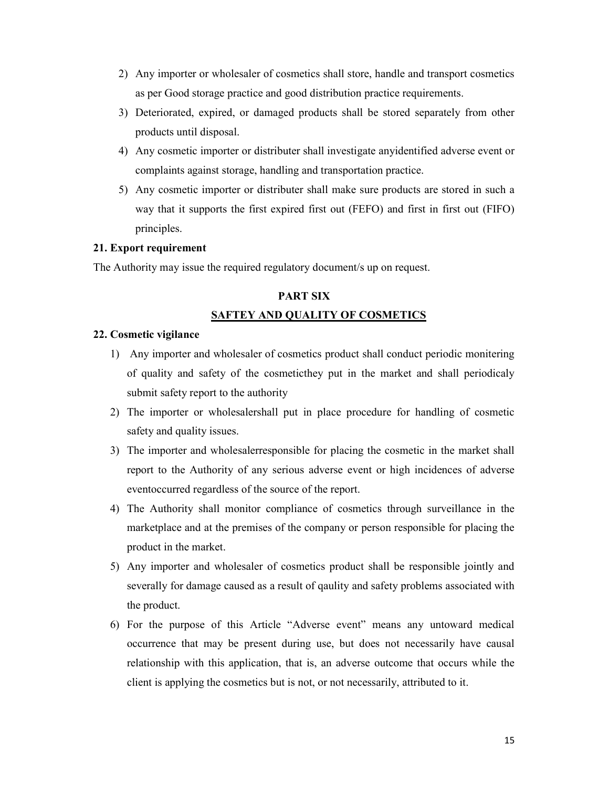- 2) Any importer or wholesaler of cosmetics shall store, handle and transport cosmetics as per Good storage practice and good distribution practice requirements.
- 3) Deteriorated, expired, or damaged products shall be stored separately from other products until disposal.
- 4) Any cosmetic importer or distributer shall investigate anyidentified adverse event or complaints against storage, handling and transportation practice.
- 5) Any cosmetic importer or distributer shall make sure products are stored in such a way that it supports the first expired first out (FEFO) and first in first out (FIFO) principles.

### 21. Export requirement

The Authority may issue the required regulatory document/s up on request.

# PART SIX SAFTEY AND QUALITY OF COSMETICS

#### 22. Cosmetic vigilance

- 1) Any importer and wholesaler of cosmetics product shall conduct periodic monitering of quality and safety of the cosmeticthey put in the market and shall periodicaly submit safety report to the authority
- 2) The importer or wholesalershall put in place procedure for handling of cosmetic safety and quality issues.
- 3) The importer and wholesalerresponsible for placing the cosmetic in the market shall report to the Authority of any serious adverse event or high incidences of adverse eventoccurred regardless of the source of the report.
- 4) The Authority shall monitor compliance of cosmetics through surveillance in the marketplace and at the premises of the company or person responsible for placing the product in the market.
- 5) Any importer and wholesaler of cosmetics product shall be responsible jointly and severally for damage caused as a result of qaulity and safety problems associated with the product.
- 6) For the purpose of this Article "Adverse event" means any untoward medical occurrence that may be present during use, but does not necessarily have causal relationship with this application, that is, an adverse outcome that occurs while the client is applying the cosmetics but is not, or not necessarily, attributed to it.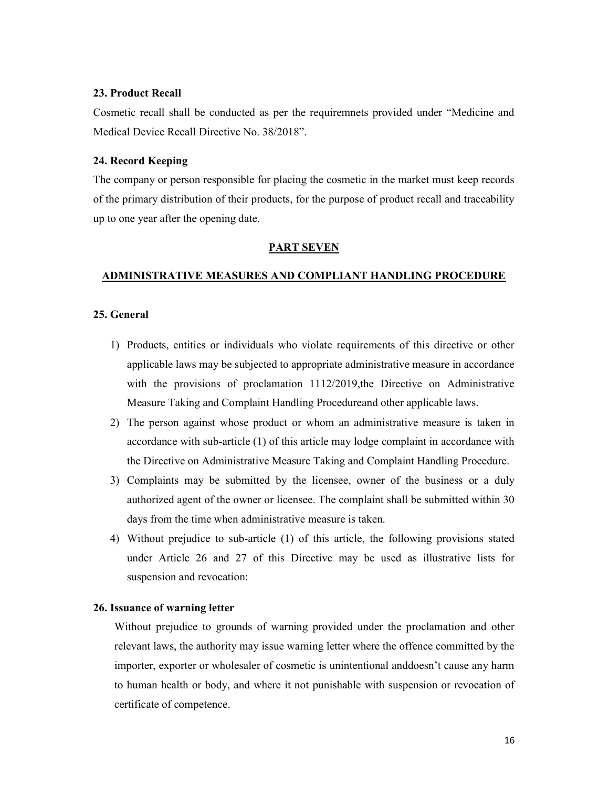### 23. Product Recall

Cosmetic recall shall be conducted as per the requiremnets provided under "Medicine and Medical Device Recall Directive No. 38/2018".

#### 24. Record Keeping

The company or person responsible for placing the cosmetic in the market must keep records of the primary distribution of their products, for the purpose of product recall and traceability up to one year after the opening date.

#### PART SEVEN

#### ADMINISTRATIVE MEASURES AND COMPLIANT HANDLING PROCEDURE

#### 25. General

- 1) Products, entities or individuals who violate requirements of this directive or other applicable laws may be subjected to appropriate administrative measure in accordance with the provisions of proclamation 1112/2019,the Directive on Administrative Measure Taking and Complaint Handling Procedureand other applicable laws.
- 2) The person against whose product or whom an administrative measure is taken in accordance with sub-article (1) of this article may lodge complaint in accordance with the Directive on Administrative Measure Taking and Complaint Handling Procedure.
- 3) Complaints may be submitted by the licensee, owner of the business or a duly authorized agent of the owner or licensee. The complaint shall be submitted within 30 days from the time when administrative measure is taken.
- 4) Without prejudice to sub-article (1) of this article, the following provisions stated under Article 26 and 27 of this Directive may be used as illustrative lists for suspension and revocation:

#### 26. Issuance of warning letter

Without prejudice to grounds of warning provided under the proclamation and other relevant laws, the authority may issue warning letter where the offence committed by the importer, exporter or wholesaler of cosmetic is unintentional anddoesn't cause any harm to human health or body, and where it not punishable with suspension or revocation of certificate of competence.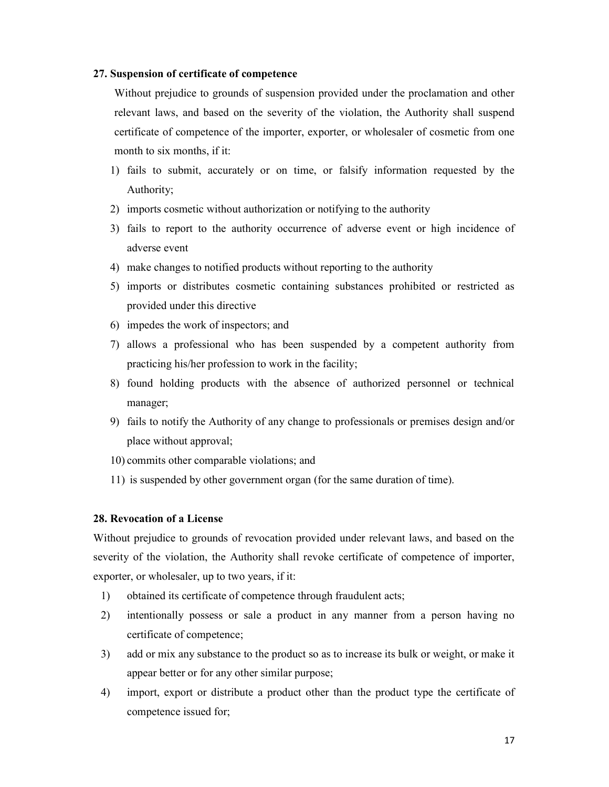#### 27. Suspension of certificate of competence

Without prejudice to grounds of suspension provided under the proclamation and other relevant laws, and based on the severity of the violation, the Authority shall suspend certificate of competence of the importer, exporter, or wholesaler of cosmetic from one month to six months, if it:

- 1) fails to submit, accurately or on time, or falsify information requested by the Authority;
- 2) imports cosmetic without authorization or notifying to the authority
- 3) fails to report to the authority occurrence of adverse event or high incidence of adverse event
- 4) make changes to notified products without reporting to the authority
- 5) imports or distributes cosmetic containing substances prohibited or restricted as provided under this directive
- 6) impedes the work of inspectors; and
- 7) allows a professional who has been suspended by a competent authority from practicing his/her profession to work in the facility;
- 8) found holding products with the absence of authorized personnel or technical manager;
- 9) fails to notify the Authority of any change to professionals or premises design and/or place without approval;
- 10) commits other comparable violations; and
- 11) is suspended by other government organ (for the same duration of time).

# 28. Revocation of a License

Without prejudice to grounds of revocation provided under relevant laws, and based on the severity of the violation, the Authority shall revoke certificate of competence of importer, exporter, or wholesaler, up to two years, if it:

- 1) obtained its certificate of competence through fraudulent acts;
- 2) intentionally possess or sale a product in any manner from a person having no certificate of competence;
- 3) add or mix any substance to the product so as to increase its bulk or weight, or make it appear better or for any other similar purpose;
- 4) import, export or distribute a product other than the product type the certificate of competence issued for;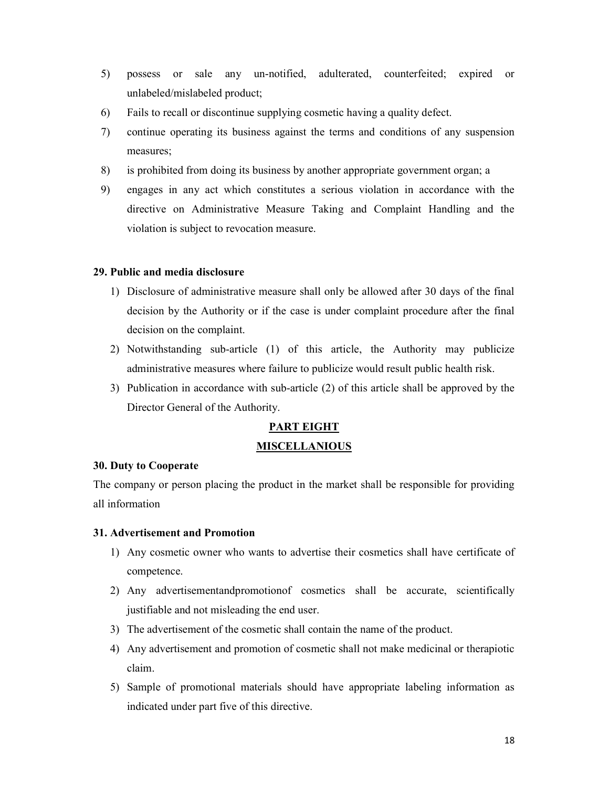- 5) possess or sale any un-notified, adulterated, counterfeited; expired or unlabeled/mislabeled product;
- 6) Fails to recall or discontinue supplying cosmetic having a quality defect.
- 7) continue operating its business against the terms and conditions of any suspension measures;
- 8) is prohibited from doing its business by another appropriate government organ; a
- 9) engages in any act which constitutes a serious violation in accordance with the directive on Administrative Measure Taking and Complaint Handling and the violation is subject to revocation measure.

# 29. Public and media disclosure

- 1) Disclosure of administrative measure shall only be allowed after 30 days of the final decision by the Authority or if the case is under complaint procedure after the final decision on the complaint.
- 2) Notwithstanding sub-article (1) of this article, the Authority may publicize administrative measures where failure to publicize would result public health risk.
- 3) Publication in accordance with sub-article (2) of this article shall be approved by the Director General of the Authority.

# PART EIGHT

# **MISCELLANIOUS**

# 30. Duty to Cooperate

The company or person placing the product in the market shall be responsible for providing all information

# 31. Advertisement and Promotion

- 1) Any cosmetic owner who wants to advertise their cosmetics shall have certificate of competence.
- 2) Any advertisementandpromotionof cosmetics shall be accurate, scientifically justifiable and not misleading the end user.
- 3) The advertisement of the cosmetic shall contain the name of the product.
- 4) Any advertisement and promotion of cosmetic shall not make medicinal or therapiotic claim.
- 5) Sample of promotional materials should have appropriate labeling information as indicated under part five of this directive.